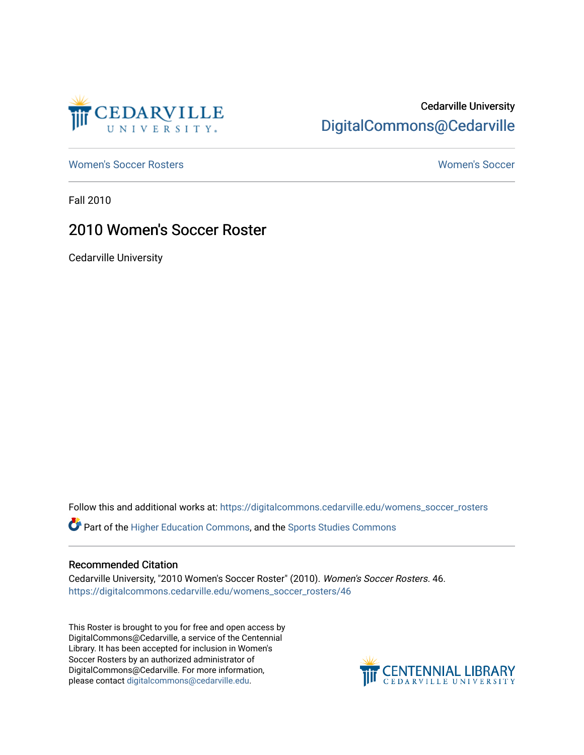

## Cedarville University [DigitalCommons@Cedarville](https://digitalcommons.cedarville.edu/)

[Women's Soccer Rosters](https://digitalcommons.cedarville.edu/womens_soccer_rosters) [Women's Soccer](https://digitalcommons.cedarville.edu/womens_soccer) 

Fall 2010

### 2010 Women's Soccer Roster

Cedarville University

Follow this and additional works at: [https://digitalcommons.cedarville.edu/womens\\_soccer\\_rosters](https://digitalcommons.cedarville.edu/womens_soccer_rosters?utm_source=digitalcommons.cedarville.edu%2Fwomens_soccer_rosters%2F46&utm_medium=PDF&utm_campaign=PDFCoverPages) 

Part of the [Higher Education Commons,](http://network.bepress.com/hgg/discipline/1245?utm_source=digitalcommons.cedarville.edu%2Fwomens_soccer_rosters%2F46&utm_medium=PDF&utm_campaign=PDFCoverPages) and the [Sports Studies Commons](http://network.bepress.com/hgg/discipline/1198?utm_source=digitalcommons.cedarville.edu%2Fwomens_soccer_rosters%2F46&utm_medium=PDF&utm_campaign=PDFCoverPages) 

#### Recommended Citation

Cedarville University, "2010 Women's Soccer Roster" (2010). Women's Soccer Rosters. 46. [https://digitalcommons.cedarville.edu/womens\\_soccer\\_rosters/46](https://digitalcommons.cedarville.edu/womens_soccer_rosters/46?utm_source=digitalcommons.cedarville.edu%2Fwomens_soccer_rosters%2F46&utm_medium=PDF&utm_campaign=PDFCoverPages)

This Roster is brought to you for free and open access by DigitalCommons@Cedarville, a service of the Centennial Library. It has been accepted for inclusion in Women's Soccer Rosters by an authorized administrator of DigitalCommons@Cedarville. For more information, please contact [digitalcommons@cedarville.edu](mailto:digitalcommons@cedarville.edu).